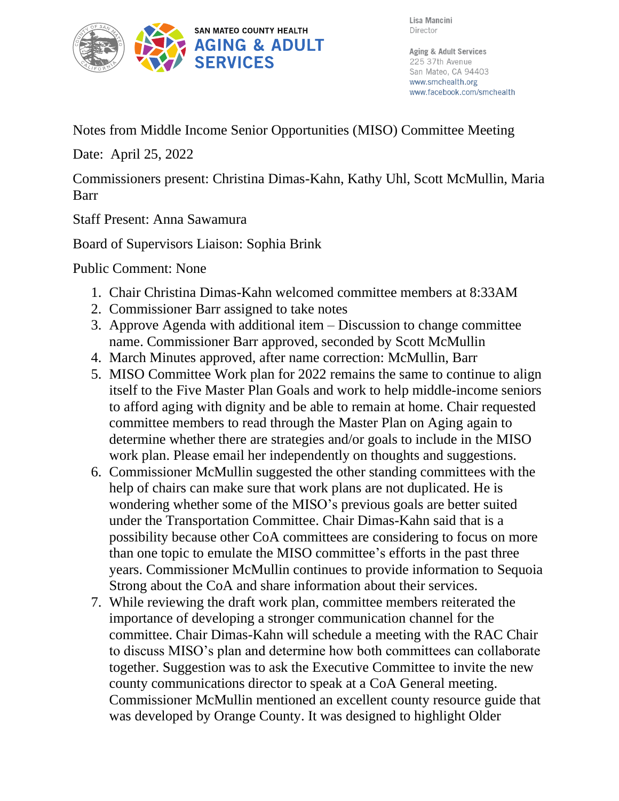

Lisa Mancini Director

Aging & Adult Services 225 37th Avenue San Mateo, CA 94403 www.smchealth.org www.facebook.com/smchealth

Notes from Middle Income Senior Opportunities (MISO) Committee Meeting

Date: April 25, 2022

Commissioners present: Christina Dimas-Kahn, Kathy Uhl, Scott McMullin, Maria Barr

Staff Present: Anna Sawamura

Board of Supervisors Liaison: Sophia Brink

Public Comment: None

- 1. Chair Christina Dimas-Kahn welcomed committee members at 8:33AM
- 2. Commissioner Barr assigned to take notes
- 3. Approve Agenda with additional item Discussion to change committee name. Commissioner Barr approved, seconded by Scott McMullin
- 4. March Minutes approved, after name correction: McMullin, Barr
- 5. MISO Committee Work plan for 2022 remains the same to continue to align itself to the Five Master Plan Goals and work to help middle-income seniors to afford aging with dignity and be able to remain at home. Chair requested committee members to read through the Master Plan on Aging again to determine whether there are strategies and/or goals to include in the MISO work plan. Please email her independently on thoughts and suggestions.
- 6. Commissioner McMullin suggested the other standing committees with the help of chairs can make sure that work plans are not duplicated. He is wondering whether some of the MISO's previous goals are better suited under the Transportation Committee. Chair Dimas-Kahn said that is a possibility because other CoA committees are considering to focus on more than one topic to emulate the MISO committee's efforts in the past three years. Commissioner McMullin continues to provide information to Sequoia Strong about the CoA and share information about their services.
- 7. While reviewing the draft work plan, committee members reiterated the importance of developing a stronger communication channel for the committee. Chair Dimas-Kahn will schedule a meeting with the RAC Chair to discuss MISO's plan and determine how both committees can collaborate together. Suggestion was to ask the Executive Committee to invite the new county communications director to speak at a CoA General meeting. Commissioner McMullin mentioned an excellent county resource guide that was developed by Orange County. It was designed to highlight Older